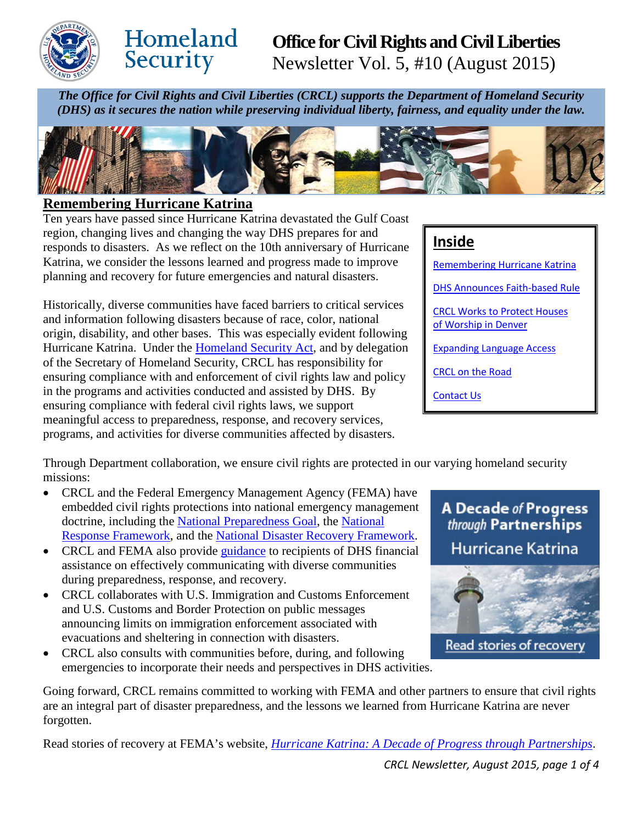

# Homeland Security

## **Office for Civil Rights and Civil Liberties**  Newsletter Vol. 5, #10 (August 2015)

*The Office for Civil Rights and Civil Liberties (CRCL) supports the Department of Homeland Security (DHS) as it secures the nation while preserving individual liberty, fairness, and equality under the law.*



## <span id="page-0-0"></span>**Remembering Hurricane Katrina**

Ten years have passed since Hurricane Katrina devastated the Gulf Coast region, changing lives and changing the way DHS prepares for and responds to disasters. As we reflect on the 10th anniversary of Hurricane Katrina, we consider the lessons learned and progress made to improve planning and recovery for future emergencies and natural disasters.

Historically, diverse communities have faced barriers to critical services and information following disasters because of race, color, national origin, disability, and other bases. This was especially evident following Hurricane Katrina. Under the **Homeland Security Act**, and by delegation of the Secretary of Homeland Security, CRCL has responsibility for ensuring compliance with and enforcement of civil rights law and policy in the programs and activities conducted and assisted by DHS. By ensuring compliance with federal civil rights laws, we support meaningful access to preparedness, response, and recovery services, programs, and activities for diverse communities affected by disasters.

**Inside**  [Remembering Hurricane Katrina](#page-0-0) [DHS Announces Faith-based Rule](#page-1-0) [CRCL Works to Protect Houses](#page-1-1)  [of Worship in Denver](#page-1-1) [Expanding Language Access](#page-2-0) [CRCL on the Road](#page-2-1) [Contact Us](#page-3-0)

Through Department collaboration, we ensure civil rights are protected in our varying homeland security missions:

- CRCL and the Federal Emergency Management Agency (FEMA) have embedded civil rights protections into national emergency management doctrine, including the [National Preparedness Goal,](http://www.fema.gov/national-preparedness-goal) the [National](http://www.fema.gov/national-response-framework)  [Response Framework,](http://www.fema.gov/national-response-framework) and the [National Disaster Recovery Framework.](http://www.fema.gov/national-disaster-recovery-framework)
- CRCL and FEMA also provide [guidance](http://www.dhs.gov/sites/default/files/publications/guide-interacting-with-people-who-have-disabilties_09-26-13.pdf) to recipients of DHS financial assistance on effectively communicating with diverse communities during preparedness, response, and recovery.
- CRCL collaborates with U.S. Immigration and Customs Enforcement and U.S. Customs and Border Protection on public messages announcing limits on immigration enforcement associated with evacuations and sheltering in connection with disasters.
- CRCL also consults with communities before, during, and following emergencies to incorporate their needs and perspectives in DHS activities.



Going forward, CRCL remains committed to working with FEMA and other partners to ensure that civil rights are an integral part of disaster preparedness, and the lessons we learned from Hurricane Katrina are never forgotten.

Read stories of recovery at FEMA's website, *[Hurricane Katrina: A Decade of Progress through Partnerships](http://beta.fema.gov/hurricane-katrina-decade-progress-through-partnerships?utm_source=hp_promo&utm_medium=web&utm_campaign=fema_hp)*.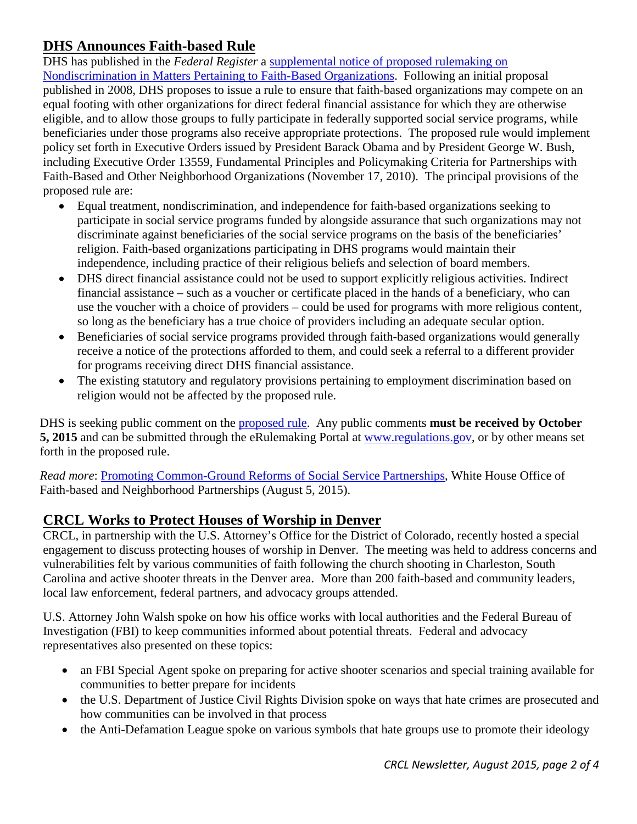## <span id="page-1-0"></span>**DHS Announces Faith-based Rule**

DHS has published in the *Federal Register* a [supplemental notice of proposed rulemaking on](http://www.federalregister.gov/articles/2015/08/06/2015-18257/nondiscrimination-in-matters-pertaining-to-faith-based-organizations)  [Nondiscrimination in Matters Pertaining to Faith-Based Organizations.](http://www.federalregister.gov/articles/2015/08/06/2015-18257/nondiscrimination-in-matters-pertaining-to-faith-based-organizations) Following an initial proposal published in 2008, DHS proposes to issue a rule to ensure that faith-based organizations may compete on an equal footing with other organizations for direct federal financial assistance for which they are otherwise eligible, and to allow those groups to fully participate in federally supported social service programs, while beneficiaries under those programs also receive appropriate protections. The proposed rule would implement policy set forth in Executive Orders issued by President Barack Obama and by President George W. Bush, including Executive Order 13559, Fundamental Principles and Policymaking Criteria for Partnerships with Faith-Based and Other Neighborhood Organizations (November 17, 2010). The principal provisions of the proposed rule are:

- Equal treatment, nondiscrimination, and independence for faith-based organizations seeking to participate in social service programs funded by alongside assurance that such organizations may not discriminate against beneficiaries of the social service programs on the basis of the beneficiaries' religion. Faith-based organizations participating in DHS programs would maintain their independence, including practice of their religious beliefs and selection of board members.
- DHS direct financial assistance could not be used to support explicitly religious activities. Indirect financial assistance – such as a voucher or certificate placed in the hands of a beneficiary, who can use the voucher with a choice of providers – could be used for programs with more religious content, so long as the beneficiary has a true choice of providers including an adequate secular option.
- Beneficiaries of social service programs provided through faith-based organizations would generally receive a notice of the protections afforded to them, and could seek a referral to a different provider for programs receiving direct DHS financial assistance.
- The existing statutory and regulatory provisions pertaining to employment discrimination based on religion would not be affected by the proposed rule.

DHS is seeking public comment on the [proposed rule.](http://www.federalregister.gov/articles/2015/08/06/2015-18257/nondiscrimination-in-matters-pertaining-to-faith-based-organizations) Any public comments **must be received by October 5, 2015** and can be submitted through the eRulemaking Portal at [www.regulations.gov,](http://www.regulations.gov/) or by other means set forth in the proposed rule.

*Read more*: [Promoting Common-Ground Reforms of Social Service Partnerships,](https://www.whitehouse.gov/blog/2015/08/05/promoting-common-ground-reforms-social-service-partnerships) White House Office of Faith-based and Neighborhood Partnerships (August 5, 2015).

## <span id="page-1-1"></span>**CRCL Works to Protect Houses of Worship in Denver**

CRCL, in partnership with the U.S. Attorney's Office for the District of Colorado, recently hosted a special engagement to discuss protecting houses of worship in Denver. The meeting was held to address concerns and vulnerabilities felt by various communities of faith following the church shooting in Charleston, South Carolina and active shooter threats in the Denver area. More than 200 faith-based and community leaders, local law enforcement, federal partners, and advocacy groups attended.

U.S. Attorney John Walsh spoke on how his office works with local authorities and the Federal Bureau of Investigation (FBI) to keep communities informed about potential threats. Federal and advocacy representatives also presented on these topics:

- an FBI Special Agent spoke on preparing for active shooter scenarios and special training available for communities to better prepare for incidents
- the U.S. Department of Justice Civil Rights Division spoke on ways that hate crimes are prosecuted and how communities can be involved in that process
- the Anti-Defamation League spoke on various symbols that hate groups use to promote their ideology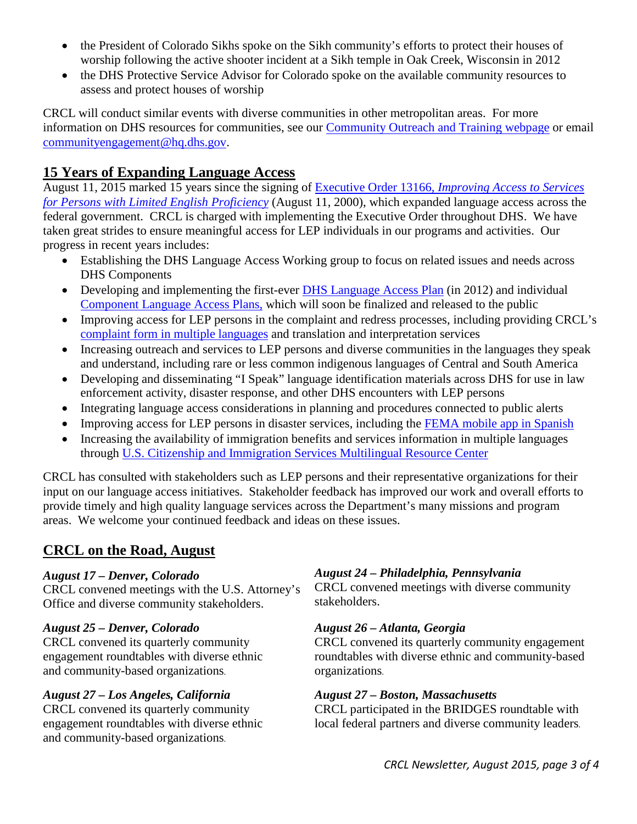- the President of Colorado Sikhs spoke on the Sikh community's efforts to protect their houses of worship following the active shooter incident at a Sikh temple in Oak Creek, Wisconsin in 2012
- the DHS Protective Service Advisor for Colorado spoke on the available community resources to assess and protect houses of worship

CRCL will conduct similar events with diverse communities in other metropolitan areas. For more information on DHS resources for communities, see our [Community Outreach and Training webpage](http://dhs.gov/community-outreach-and-training) or email [communityengagement@hq.dhs.gov.](mailto:communityengagement@hq.dhs.gov)

## <span id="page-2-0"></span>**15 Years of Expanding Language Access**

August 11, 2015 marked 15 years since the signing of Executive Order 13166, *[Improving Access to Services](http://www.gpo.gov/fdsys/pkg/FR-2000-08-16/pdf/00-20938.pdf)  [for Persons with Limited English Proficiency](http://www.gpo.gov/fdsys/pkg/FR-2000-08-16/pdf/00-20938.pdf)* (August 11, 2000), which expanded language access across the federal government. CRCL is charged with implementing the Executive Order throughout DHS. We have taken great strides to ensure meaningful access for LEP individuals in our programs and activities. Our progress in recent years includes:

- Establishing the DHS Language Access Working group to focus on related issues and needs across DHS Components
- Developing and implementing the first-ever DHS [Language Access Plan](http://www.dhs.gov/department-homeland-security-language-access-plan) (in 2012) and individual [Component Language Access Plans,](http://www.dhs.gov/language-access) which will soon be finalized and released to the public
- Improving access for LEP persons in the complaint and redress processes, including providing CRCL's [complaint form in multiple languages](http://www.dhs.gov/file-civil-rights-complaint) and translation and interpretation services
- Increasing outreach and services to LEP persons and diverse communities in the languages they speak and understand, including rare or less common indigenous languages of Central and South America
- Developing and disseminating "I Speak" language identification materials across DHS for use in law enforcement activity, disaster response, and other DHS encounters with LEP persons
- Integrating language access considerations in planning and procedures connected to public alerts
- Improving access for LEP persons in disaster services, including the [FEMA mobile app in](http://www.fema.gov/es/aplicacion-de-fema-para-dispositivos-moviles) Spanish
- Increasing the availability of immigration benefits and services information in multiple languages through [U.S. Citizenship and Immigration Services Multilingual Resource Center](http://www.uscis.gov/tools/multilingual-resource-center)

CRCL has consulted with stakeholders such as LEP persons and their representative organizations for their input on our language access initiatives. Stakeholder feedback has improved our work and overall efforts to provide timely and high quality language services across the Department's many missions and program areas. We welcome your continued feedback and ideas on these issues.

## <span id="page-2-1"></span>**CRCL on the Road, August**

#### *August 17 – Denver, Colorado*

CRCL convened meetings with the U.S. Attorney's Office and diverse community stakeholders.

#### *August 25 – Denver, Colorado*

CRCL convened its quarterly community engagement roundtables with diverse ethnic and community-based organizations.

#### *August 27 – Los Angeles, California*

CRCL convened its quarterly community engagement roundtables with diverse ethnic and community-based organizations.

#### *August 24 – Philadelphia, Pennsylvania*

CRCL convened meetings with diverse community stakeholders.

#### *August 26 – Atlanta, Georgia*

CRCL convened its quarterly community engagement roundtables with diverse ethnic and community-based organizations.

#### *August 27 – Boston, Massachusetts*

CRCL participated in the BRIDGES roundtable with local federal partners and diverse community leaders.